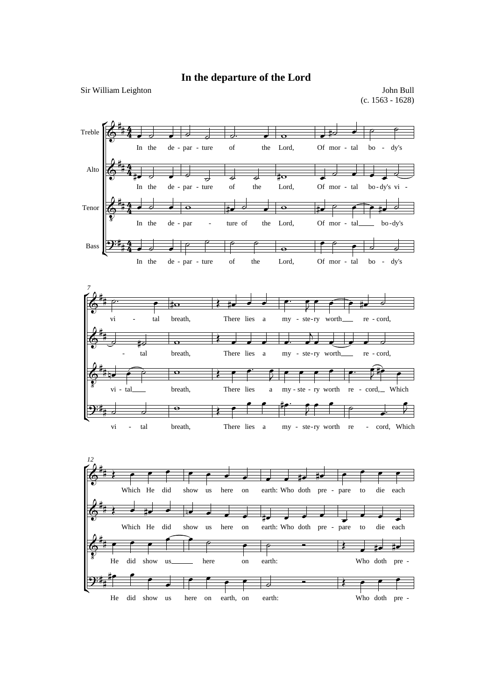## **In the departure of the Lord**

Sir William Leighton

John Bull (c. 1563 - 1628)